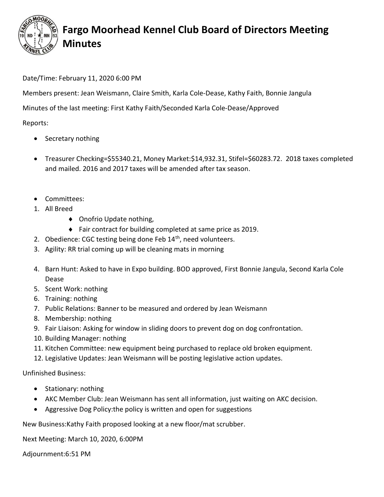

## Fargo Moorhead Kennel Club Board of Directors Meeting Minutes

## Date/Time: February 11, 2020 6:00 PM

Members present: Jean Weismann, Claire Smith, Karla Cole-Dease, Kathy Faith, Bonnie Jangula

Minutes of the last meeting: First Kathy Faith/Seconded Karla Cole-Dease/Approved

Reports:

- Secretary nothing
- Treasurer Checking=\$55340.21, Money Market:\$14,932.31, Stifel=\$60283.72. 2018 taxes completed and mailed. 2016 and 2017 taxes will be amended after tax season.
- Committees:
- 1. All Breed
	- ◆ Onofrio Update nothing,
	- Fair contract for building completed at same price as 2019.
- 2. Obedience: CGC testing being done Feb  $14<sup>th</sup>$ , need volunteers.
- 3. Agility: RR trial coming up will be cleaning mats in morning
- 4. Barn Hunt: Asked to have in Expo building. BOD approved, First Bonnie Jangula, Second Karla Cole Dease
- 5. Scent Work: nothing
- 6. Training: nothing
- 7. Public Relations: Banner to be measured and ordered by Jean Weismann
- 8. Membership: nothing
- 9. Fair Liaison: Asking for window in sliding doors to prevent dog on dog confrontation.
- 10. Building Manager: nothing
- 11. Kitchen Committee: new equipment being purchased to replace old broken equipment.
- 12. Legislative Updates: Jean Weismann will be posting legislative action updates.

Unfinished Business:

- Stationary: nothing
- AKC Member Club: Jean Weismann has sent all information, just waiting on AKC decision.
- Aggressive Dog Policy:the policy is written and open for suggestions

New Business:Kathy Faith proposed looking at a new floor/mat scrubber.

Next Meeting: March 10, 2020, 6:00PM

Adjournment:6:51 PM